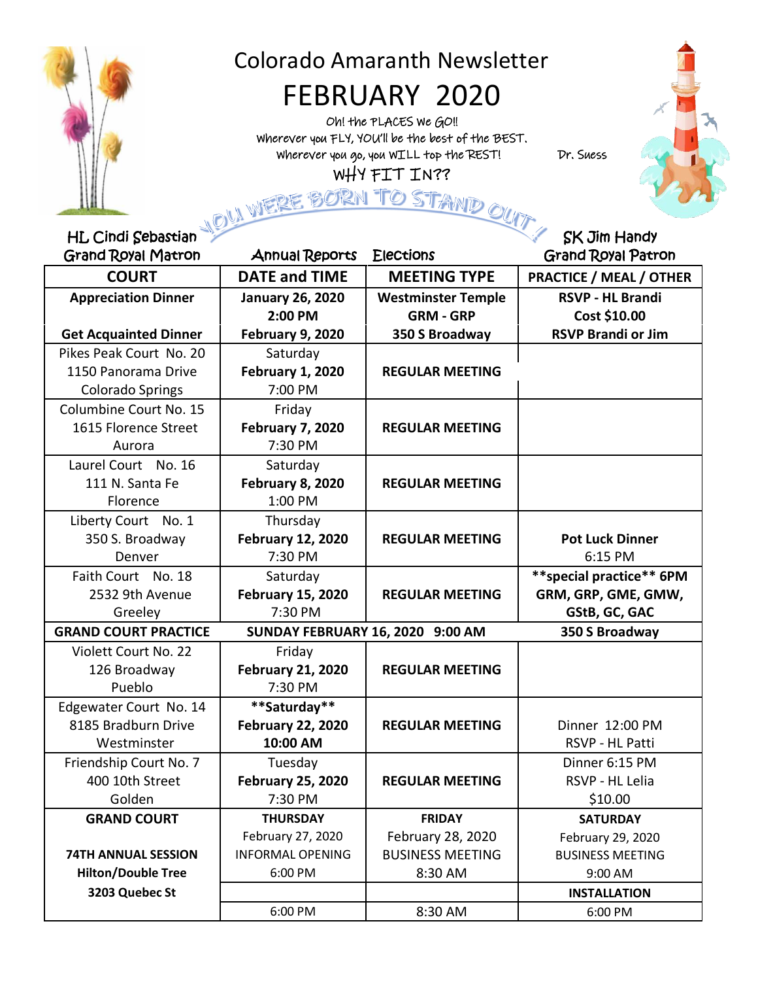

# Colorado Amaranth Newsletter

# FEBRUARY 2020

Oh! the PLACES We GO!! Wherever you FLY, YOU'll be the best of the BEST. Wherever you go, you WILL top the REST! Dr. Suess WHY FIT IN??



 $\overline{\phantom{a}}$ í

| <b>HL Cindi Sebastian</b>                                                         |                          |                           | <b>SK Jim Handy</b>            |  |
|-----------------------------------------------------------------------------------|--------------------------|---------------------------|--------------------------------|--|
| <b>Grand Royal Matron</b>                                                         | <b>Annual Reports</b>    | <b>Elections</b>          | <b>Grand Royal Patron</b>      |  |
| <b>COURT</b>                                                                      | <b>DATE and TIME</b>     | <b>MEETING TYPE</b>       | <b>PRACTICE / MEAL / OTHER</b> |  |
| <b>Appreciation Dinner</b>                                                        | <b>January 26, 2020</b>  | <b>Westminster Temple</b> | <b>RSVP - HL Brandi</b>        |  |
|                                                                                   | 2:00 PM                  | <b>GRM - GRP</b>          | Cost \$10.00                   |  |
| <b>Get Acquainted Dinner</b>                                                      | <b>February 9, 2020</b>  | 350 S Broadway            | <b>RSVP Brandi or Jim</b>      |  |
| Pikes Peak Court No. 20                                                           | Saturday                 |                           |                                |  |
| 1150 Panorama Drive                                                               | <b>February 1, 2020</b>  | <b>REGULAR MEETING</b>    |                                |  |
| <b>Colorado Springs</b>                                                           | 7:00 PM                  |                           |                                |  |
| Columbine Court No. 15                                                            | Friday                   |                           |                                |  |
| 1615 Florence Street                                                              | <b>February 7, 2020</b>  | <b>REGULAR MEETING</b>    |                                |  |
| Aurora                                                                            | 7:30 PM                  |                           |                                |  |
| Laurel Court No. 16                                                               | Saturday                 |                           |                                |  |
| 111 N. Santa Fe                                                                   | February 8, 2020         | <b>REGULAR MEETING</b>    |                                |  |
| Florence                                                                          | 1:00 PM                  |                           |                                |  |
| Liberty Court No. 1                                                               | Thursday                 |                           |                                |  |
| 350 S. Broadway                                                                   | <b>February 12, 2020</b> | <b>REGULAR MEETING</b>    | <b>Pot Luck Dinner</b>         |  |
| Denver                                                                            | 7:30 PM                  |                           | 6:15 PM                        |  |
| Faith Court No. 18                                                                | Saturday                 |                           | **special practice** 6PM       |  |
| 2532 9th Avenue                                                                   | <b>February 15, 2020</b> | <b>REGULAR MEETING</b>    | GRM, GRP, GME, GMW,            |  |
| Greeley                                                                           | 7:30 PM                  |                           | GStB, GC, GAC                  |  |
| <b>GRAND COURT PRACTICE</b><br>SUNDAY FEBRUARY 16, 2020 9:00 AM<br>350 S Broadway |                          |                           |                                |  |
| Violett Court No. 22                                                              | Friday                   |                           |                                |  |
| 126 Broadway                                                                      | <b>February 21, 2020</b> | <b>REGULAR MEETING</b>    |                                |  |
| Pueblo                                                                            | 7:30 PM                  |                           |                                |  |
| Edgewater Court No. 14                                                            | **Saturday**             |                           |                                |  |
| 8185 Bradburn Drive                                                               | <b>February 22, 2020</b> | <b>REGULAR MEETING</b>    | Dinner 12:00 PM                |  |
| Westminster                                                                       | 10:00 AM                 |                           | RSVP - HL Patti                |  |
| Friendship Court No. 7                                                            | Tuesday                  |                           | Dinner 6:15 PM                 |  |
| 400 10th Street                                                                   | <b>February 25, 2020</b> | <b>REGULAR MEETING</b>    | RSVP - HL Lelia                |  |
| Golden                                                                            | 7:30 PM                  |                           | \$10.00                        |  |
| <b>GRAND COURT</b>                                                                | <b>THURSDAY</b>          | <b>FRIDAY</b>             | <b>SATURDAY</b>                |  |
|                                                                                   | February 27, 2020        | February 28, 2020         | February 29, 2020              |  |
| <b>74TH ANNUAL SESSION</b>                                                        | <b>INFORMAL OPENING</b>  | <b>BUSINESS MEETING</b>   | <b>BUSINESS MEETING</b>        |  |
| <b>Hilton/Double Tree</b>                                                         | 6:00 PM                  | 8:30 AM                   | 9:00 AM                        |  |
| 3203 Quebec St                                                                    |                          |                           | <b>INSTALLATION</b>            |  |
|                                                                                   | 6:00 PM                  | 8:30 AM                   | 6:00 PM                        |  |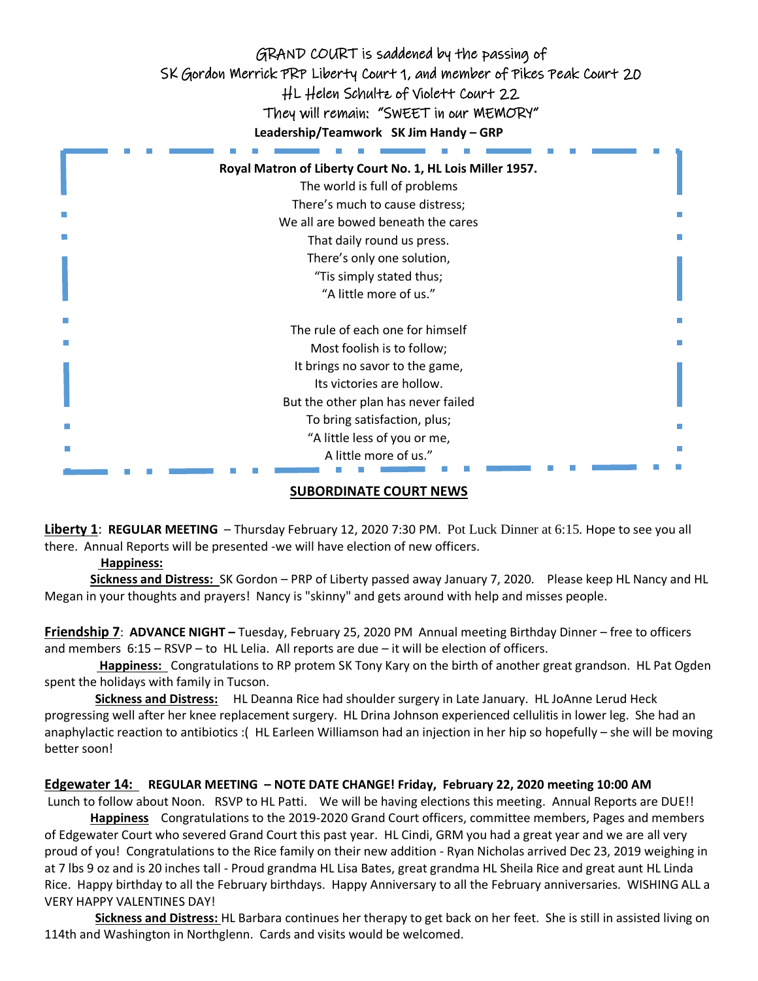

#### **SUBORDINATE COURT NEWS**

**Liberty 1**: **REGULAR MEETING** – Thursday February 12, 2020 7:30 PM. Pot Luck Dinner at 6:15. Hope to see you all there. Annual Reports will be presented -we will have election of new officers.

#### **Happiness:**

 **Sickness and Distress:** SK Gordon – PRP of Liberty passed away January 7, 2020. Please keep HL Nancy and HL Megan in your thoughts and prayers! Nancy is "skinny" and gets around with help and misses people.

**Friendship 7**: **ADVANCE NIGHT –** Tuesday, February 25, 2020 PM Annual meeting Birthday Dinner – free to officers and members 6:15 – RSVP – to HL Lelia. All reports are due – it will be election of officers.

 **Happiness:** Congratulations to RP protem SK Tony Kary on the birth of another great grandson. HL Pat Ogden spent the holidays with family in Tucson.

**Sickness and Distress:** HL Deanna Rice had shoulder surgery in Late January. HL JoAnne Lerud Heck progressing well after her knee replacement surgery. HL Drina Johnson experienced cellulitis in lower leg. She had an anaphylactic reaction to antibiotics :( HL Earleen Williamson had an injection in her hip so hopefully – she will be moving better soon!

#### **Edgewater 14: REGULAR MEETING – NOTE DATE CHANGE! Friday, February 22, 2020 meeting 10:00 AM**

Lunch to follow about Noon. RSVP to HL Patti. We will be having elections this meeting. Annual Reports are DUE!!

 **Happiness** Congratulations to the 2019-2020 Grand Court officers, committee members, Pages and members of Edgewater Court who severed Grand Court this past year. HL Cindi, GRM you had a great year and we are all very proud of you! Congratulations to the Rice family on their new addition - Ryan Nicholas arrived Dec 23, 2019 weighing in at 7 lbs 9 oz and is 20 inches tall - Proud grandma HL Lisa Bates, great grandma HL Sheila Rice and great aunt HL Linda Rice. Happy birthday to all the February birthdays. Happy Anniversary to all the February anniversaries. WISHING ALL a VERY HAPPY VALENTINES DAY!

 **Sickness and Distress:** HL Barbara continues her therapy to get back on her feet. She is still in assisted living on 114th and Washington in Northglenn. Cards and visits would be welcomed.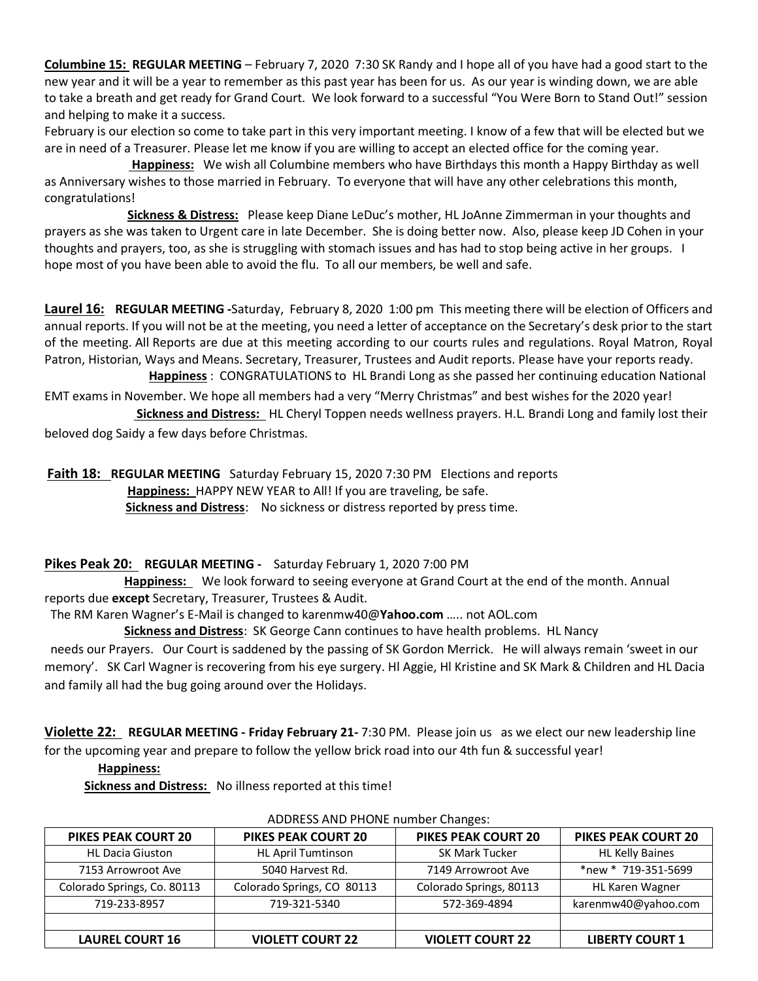**Columbine 15: REGULAR MEETING** – February 7, 2020 7:30 SK Randy and I hope all of you have had a good start to the new year and it will be a year to remember as this past year has been for us. As our year is winding down, we are able to take a breath and get ready for Grand Court. We look forward to a successful "You Were Born to Stand Out!" session and helping to make it a success.

February is our election so come to take part in this very important meeting. I know of a few that will be elected but we are in need of a Treasurer. Please let me know if you are willing to accept an elected office for the coming year.

 **Happiness:** We wish all Columbine members who have Birthdays this month a Happy Birthday as well as Anniversary wishes to those married in February. To everyone that will have any other celebrations this month, congratulations!

 **Sickness & Distress:** Please keep Diane LeDuc's mother, HL JoAnne Zimmerman in your thoughts and prayers as she was taken to Urgent care in late December. She is doing better now. Also, please keep JD Cohen in your thoughts and prayers, too, as she is struggling with stomach issues and has had to stop being active in her groups. I hope most of you have been able to avoid the flu. To all our members, be well and safe.

**Laurel 16: REGULAR MEETING -**Saturday, February 8, 2020 1:00 pm This meeting there will be election of Officers and annual reports. If you will not be at the meeting, you need a letter of acceptance on the Secretary's desk prior to the start of the meeting. All Reports are due at this meeting according to our courts rules and regulations. Royal Matron, Royal Patron, Historian, Ways and Means. Secretary, Treasurer, Trustees and Audit reports. Please have your reports ready.  **Happiness** : CONGRATULATIONS toHL Brandi Long as she passed her continuing education National

EMT exams in November. We hope all members had a very "Merry Christmas" and best wishes for the 2020 year!

 **Sickness and Distress:** HL Cheryl Toppen needs wellness prayers. H.L. Brandi Long and family lost their beloved dog Saidy a few days before Christmas.

**Faith 18: REGULAR MEETING** Saturday February 15, 2020 7:30 PM Elections and reports  **Happiness:** HAPPY NEW YEAR to All! If you are traveling, be safe. **Sickness and Distress**: No sickness or distress reported by press time.

#### **Pikes Peak 20: REGULAR MEETING -** Saturday February 1, 2020 7:00 PM

 **Happiness:** We look forward to seeing everyone at Grand Court at the end of the month. Annual reports due **except** Secretary, Treasurer, Trustees & Audit.

The RM Karen Wagner's E-Mail is changed to karenmw40@**Yahoo.com** ….. not AOL.com

 **Sickness and Distress**: SK George Cann continues to have health problems. HL Nancy

 needs our Prayers. Our Court is saddened by the passing of SK Gordon Merrick. He will always remain 'sweet in our memory'. SK Carl Wagner is recovering from his eye surgery. Hl Aggie, Hl Kristine and SK Mark & Children and HL Dacia and family all had the bug going around over the Holidays.

**Violette 22: REGULAR MEETING - Friday February 21-** 7:30 PM. Please join us as we elect our new leadership line for the upcoming year and prepare to follow the yellow brick road into our 4th fun & successful year!

#### **Happiness:**

 **Sickness and Distress:** No illness reported at this time!

| <b>PIKES PEAK COURT 20</b>  | <b>PIKES PEAK COURT 20</b> | <b>PIKES PEAK COURT 20</b> | <b>PIKES PEAK COURT 20</b> |
|-----------------------------|----------------------------|----------------------------|----------------------------|
| <b>HL Dacia Giuston</b>     | <b>HL April Tumtinson</b>  | <b>SK Mark Tucker</b>      | <b>HL Kelly Baines</b>     |
| 7153 Arrowroot Ave          | 5040 Harvest Rd.           | 7149 Arrowroot Ave         | *new * 719-351-5699        |
| Colorado Springs, Co. 80113 | Colorado Springs, CO 80113 | Colorado Springs, 80113    | HL Karen Wagner            |
| 719-233-8957                | 719-321-5340               | 572-369-4894               | karenmw40@yahoo.com        |
|                             |                            |                            |                            |
| <b>LAUREL COURT 16</b>      | <b>VIOLETT COURT 22</b>    | <b>VIOLETT COURT 22</b>    | <b>LIBERTY COURT 1</b>     |

#### ADDRESS AND PHONE number Changes: